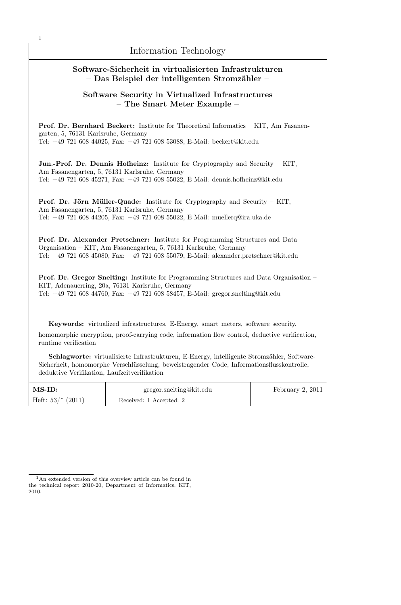| $\mathbf{1}$                                                                                                                                                                                                                               |                                                                                                                                                                                         |                  |
|--------------------------------------------------------------------------------------------------------------------------------------------------------------------------------------------------------------------------------------------|-----------------------------------------------------------------------------------------------------------------------------------------------------------------------------------------|------------------|
| Information Technology                                                                                                                                                                                                                     |                                                                                                                                                                                         |                  |
| Software-Sicherheit in virtualisierten Infrastrukturen<br>- Das Beispiel der intelligenten Stromzähler -                                                                                                                                   |                                                                                                                                                                                         |                  |
| Software Security in Virtualized Infrastructures<br>$-$ The Smart Meter Example $-$                                                                                                                                                        |                                                                                                                                                                                         |                  |
| Prof. Dr. Bernhard Beckert: Institute for Theoretical Informatics - KIT, Am Fasanen-<br>garten, 5, 76131 Karlsruhe, Germany<br>Tel: +49 721 608 44025, Fax: +49 721 608 53088, E-Mail: beckert@kit.edu                                     |                                                                                                                                                                                         |                  |
| Jun.-Prof. Dr. Dennis Hofheinz: Institute for Cryptography and Security – KIT,<br>Am Fasanengarten, 5, 76131 Karlsruhe, Germany<br>Tel: +49 721 608 45271, Fax: +49 721 608 55022, E-Mail: dennis.hofheinz@kit.edu                         |                                                                                                                                                                                         |                  |
| Prof. Dr. Jörn Müller-Quade: Institute for Cryptography and Security - KIT,<br>Am Fasanengarten, 5, 76131 Karlsruhe, Germany<br>Tel: +49 721 608 44205, Fax: +49 721 608 55022, E-Mail: muellerq@ira.uka.de                                |                                                                                                                                                                                         |                  |
| Prof. Dr. Alexander Pretschner: Institute for Programming Structures and Data<br>Organisation - KIT, Am Fasanengarten, 5, 76131 Karlsruhe, Germany<br>Tel: +49 721 608 45080, Fax: +49 721 608 55079, E-Mail: alexander.pretschner@kit.edu |                                                                                                                                                                                         |                  |
| <b>Prof. Dr. Gregor Snelting:</b> Institute for Programming Structures and Data Organisation –<br>KIT, Adenauerring, 20a, 76131 Karlsruhe, Germany<br>Tel: +49 721 608 44760, Fax: +49 721 608 58457, E-Mail: gregor.snelting@kit.edu      |                                                                                                                                                                                         |                  |
| runtime verification                                                                                                                                                                                                                       | Keywords: virtualized infrastructures, E-Energy, smart meters, software security,<br>homomorphic encryption, proof-carrying code, information flow control, deductive verification,     |                  |
| deduktive Verifikation, Laufzeitverifikation                                                                                                                                                                                               | Schlagworte: virtualisierte Infrastrukturen, E-Energy, intelligente Stromzähler, Software-<br>Sicherheit, homomorphe Verschlüsselung, beweistragender Code, Informationsflusskontrolle, |                  |
| MS-ID:<br>Heft: $53$ /* (2011)                                                                                                                                                                                                             | gregor.snelting@kit.edu<br>Received: 1 Accepted: 2                                                                                                                                      | February 2, 2011 |
|                                                                                                                                                                                                                                            |                                                                                                                                                                                         |                  |

<sup>1</sup>An extended version of this overview article can be found in the technical report 2010-20, Department of Informatics, KIT, 2010.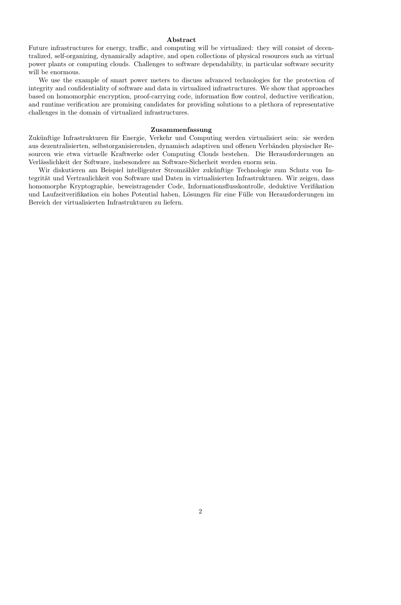#### Abstract

Future infrastructures for energy, traffic, and computing will be virtualized: they will consist of decentralized, self-organizing, dynamically adaptive, and open collections of physical resources such as virtual power plants or computing clouds. Challenges to software dependability, in particular software security will be enormous.

We use the example of smart power meters to discuss advanced technologies for the protection of integrity and confidentiality of software and data in virtualized infrastructures. We show that approaches based on homomorphic encryption, proof-carrying code, information flow control, deductive verification, and runtime verification are promising candidates for providing solutions to a plethora of representative challenges in the domain of virtualized infrastructures.

#### Zusammenfassung

Zukünftige Infrastrukturen für Energie, Verkehr und Computing werden virtualisiert sein: sie werden aus dezentralisierten, selbstorganisierenden, dynamisch adaptiven und offenen Verbänden physischer Resourcen wie etwa virtuelle Kraftwerke oder Computing Clouds bestehen. Die Herausforderungen an Verlässlichkeit der Software, insbesondere an Software-Sicherheit werden enorm sein.

Wir diskutieren am Beispiel intelligenter Stromzähler zukünftige Technologie zum Schutz von Integrität und Vertraulichkeit von Software und Daten in virtualisierten Infrastrukturen. Wir zeigen, dass homomorphe Kryptographie, beweistragender Code, Informationsflusskontrolle, deduktive Verifikation und Laufzeitverifikation ein hohes Potential haben, Lösungen für eine Fülle von Herausforderungen im Bereich der virtualisierten Infrastrukturen zu liefern.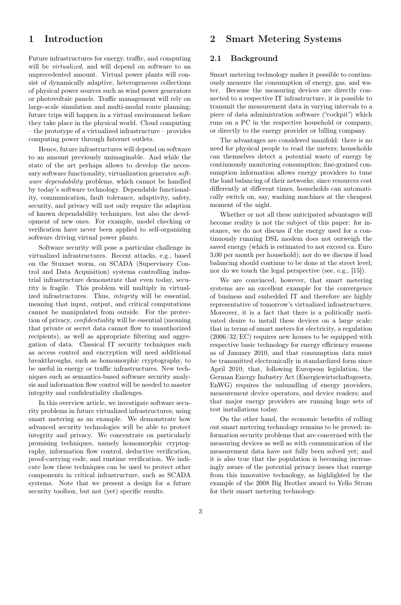# 1 Introduction

Future infrastructures for energy, traffic, and computing will be *virtualized*, and will depend on software to an unprecedented amount. Virtual power plants will consist of dynamically adaptive, heterogeneous collections of physical power sources such as wind power generators or photovoltaic panels. Traffic management will rely on large-scale simulation and multi-modal route planning; future trips will happen in a virtual environment before they take place in the physical world. Cloud computing – the prototype of a virtualized infrastructure – provides computing power through Internet outlets.

Hence, future infrastructures will depend on software to an amount previously unimaginable. And while the state of the art perhaps allows to develop the necessary software functionality, virtualization generates software dependability problems, which cannot be handled by today's software technology. Dependable functionality, communication, fault tolerance, adaptivity, safety, security, and privacy will not only require the adaption of known dependability techniques, but also the development of new ones. For example, model checking or verification have never been applied to self-organizing software driving virtual power plants.

Software security will pose a particular challenge in virtualized infrastructures. Recent attacks, e.g., based on the Stuxnet worm, on SCADA (Supervisory Control and Data Acquisition) systems controlling industrial infrastructure demonstrate that even today, security is fragile. This problem will multiply in virtualized infrastructures. Thus, integrity will be essential, meaning that input, output, and critical computations cannot be manipulated from outside. For the protection of privacy, confidentiality will be essential (meaning that private or secret data cannot flow to unauthorized recipients), as well as appropriate filtering and aggregation of data. Classical IT security techniques such as access control and encryption will need additional breakthroughs, such as homomorphic cryptography, to be useful in energy or traffic infrastructures. New techniques such as semantics-based software security analysis and information flow control will be needed to master integrity and confidentiality challenges.

In this overview article, we investigate software security problems in future virtualized infrastructures; using smart metering as an example. We demonstrate how advanced security technologies will be able to protect integrity and privacy. We concentrate on particularly promising techniques, namely homomorphic cryptography, information flow control, deductive verification, proof-carrying code, and runtime verification. We indicate how these techniques can be used to protect other components in critical infrastructure, such as SCADA systems. Note that we present a design for a future security toolbox, but not (yet) specific results.

# 2 Smart Metering Systems

#### 2.1 Background

Smart metering technology makes it possible to continuously measure the consumption of energy, gas, and water. Because the measuring devices are directly connected to a respective IT infrastructure, it is possible to transmit the measurement data in varying intervals to a piece of data administration software ("cockpit") which runs on a PC in the respective household or company, or directly to the energy provider or billing company.

The advantages are considered manifold: there is no need for physical people to read the meters; households can themselves detect a potential waste of energy by continuously monitoring consumption; fine-grained consumption information allows energy providers to tune the load balancing of their networks; since resources cost differently at different times, households can automatically switch on, say, washing machines at the cheapest moment of the night.

Whether or not all these anticipated advantages will become reality is not the subject of this paper: for instance, we do not discuss if the energy used for a continuously running DSL modem does not outweigh the saved energy (which is estimated to not exceed ca. Euro 3,00 per month per household); nor do we discuss if load balancing should continue to be done at the street level; nor do we touch the legal perspective (see, e.g., [15]).

We are convinced, however, that smart metering systems are an excellent example for the convergence of business and embedded IT and therefore are highly representative of tomorrow's virtualized infrastructures. Moreover, it is a fact that there is a politically motivated desire to install these devices on a large scale; that in terms of smart meters for electricity, a regulation (2006/32/EC) requires new houses to be equipped with respective basic technology for energy efficiency reasons as of January 2010, and that consumption data must be transmitted electronically in standardized form since April 2010; that, following European legislation, the German Energy Industry Act (Energiewirtschaftsgesetz, EnWG) requires the unbundling of energy providers, measurement device operators, and device readers; and that major energy providers are running huge sets of test installations today.

On the other hand, the economic benefits of rolling out smart metering technology remains to be proved; information security problems that are concerned with the measuring devices as well as with communication of the measurement data have not fully been solved yet; and it is also true that the population is becoming increasingly aware of the potential privacy issues that emerge from this innovative technology, as highlighted by the example of the 2008 Big Brother award to Yello Strom for their smart metering technology.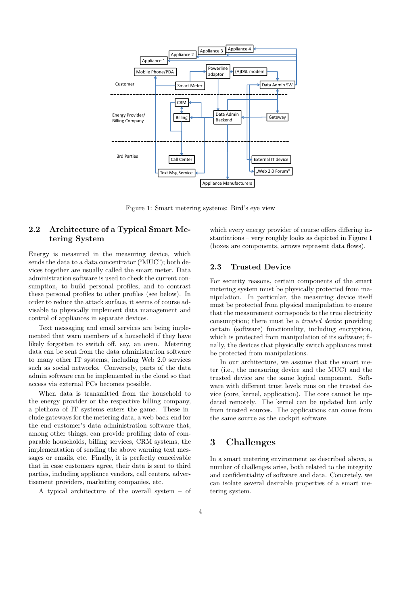

Figure 1: Smart metering systems: Bird's eye view

### 2.2 Architecture of a Typical Smart Metering System

Energy is measured in the measuring device, which sends the data to a data concentrator ("MUC"); both devices together are usually called the smart meter. Data administration software is used to check the current consumption, to build personal profiles, and to contrast these personal profiles to other profiles (see below). In order to reduce the attack surface, it seems of course advisable to physically implement data management and control of appliances in separate devices.

Text messaging and email services are being implemented that warn members of a household if they have likely forgotten to switch off, say, an oven. Metering data can be sent from the data administration software to many other IT systems, including Web 2.0 services such as social networks. Conversely, parts of the data admin software can be implemented in the cloud so that access via external PCs becomes possible.

When data is transmitted from the household to the energy provider or the respective billing company, a plethora of IT systems enters the game. These include gateways for the metering data, a web back-end for the end customer's data administration software that, among other things, can provide profiling data of comparable households, billing services, CRM systems, the implementation of sending the above warning text messages or emails, etc. Finally, it is perfectly conceivable that in case customers agree, their data is sent to third parties, including appliance vendors, call centers, advertisement providers, marketing companies, etc.

A typical architecture of the overall system – of

which every energy provider of course offers differing instantiations – very roughly looks as depicted in Figure 1 (boxes are components, arrows represent data flows).

### 2.3 Trusted Device

For security reasons, certain components of the smart metering system must be physically protected from manipulation. In particular, the measuring device itself must be protected from physical manipulation to ensure that the measurement corresponds to the true electricity consumption; there must be a trusted device providing certain (software) functionality, including encryption, which is protected from manipulation of its software; finally, the devices that physically switch appliances must be protected from manipulations.

In our architecture, we assume that the smart meter (i.e., the measuring device and the MUC) and the trusted device are the same logical component. Software with different trust levels runs on the trusted device (core, kernel, application). The core cannot be updated remotely. The kernel can be updated but only from trusted sources. The applications can come from the same source as the cockpit software.

## 3 Challenges

In a smart metering environment as described above, a number of challenges arise, both related to the integrity and confidentiality of software and data. Concretely, we can isolate several desirable properties of a smart metering system.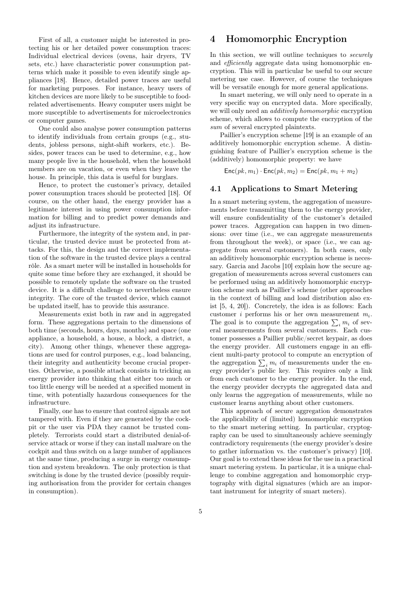First of all, a customer might be interested in protecting his or her detailed power consumption traces: Individual electrical devices (ovens, hair dryers, TV sets, etc.) have characteristic power consumption patterns which make it possible to even identify single appliances [18]. Hence, detailed power traces are useful for marketing purposes. For instance, heavy users of kitchen devices are more likely to be susceptible to foodrelated advertisements. Heavy computer users might be more susceptible to advertisements for microelectronics or computer games.

One could also analyse power consumption patterns to identify individuals from certain groups (e.g., students, jobless persons, night-shift workers, etc.). Besides, power traces can be used to determine, e.g., how many people live in the household, when the household members are on vacation, or even when they leave the house. In principle, this data is useful for burglars.

Hence, to protect the customer's privacy, detailed power consumption traces should be protected [18]. Of course, on the other hand, the energy provider has a legitimate interest in using power consumption information for billing and to predict power demands and adjust its infrastructure.

Furthermore, the integrity of the system and, in particular, the trusted device must be protected from attacks. For this, the design and the correct implementation of the software in the trusted device plays a central rôle. As a smart meter will be installed in households for quite some time before they are exchanged, it should be possible to remotely update the software on the trusted device. It is a difficult challenge to nevertheless ensure integrity. The core of the trusted device, which cannot be updated itself, has to provide this assurance.

Measurements exist both in raw and in aggregated form. These aggregations pertain to the dimensions of both time (seconds, hours, days, months) and space (one appliance, a household, a house, a block, a district, a city). Among other things, whenever these aggregations are used for control purposes, e.g., load balancing, their integrity and authenticity become crucial properties. Otherwise, a possible attack consists in tricking an energy provider into thinking that either too much or too little energy will be needed at a specified moment in time, with potentially hazardous consequences for the infrastructure.

Finally, one has to ensure that control signals are not tampered with. Even if they are generated by the cockpit or the user via PDA they cannot be trusted completely. Terrorists could start a distributed denial-ofservice attack or worse if they can install malware on the cockpit and thus switch on a large number of appliances at the same time, producing a surge in energy consumption and system breakdown. The only protection is that switching is done by the trusted device (possibly requiring authorisation from the provider for certain changes in consumption).

# 4 Homomorphic Encryption

In this section, we will outline techniques to *securely* and efficiently aggregate data using homomorphic encryption. This will in particular be useful to our secure metering use case. However, of course the techniques will be versatile enough for more general applications.

In smart metering, we will only need to operate in a very specific way on encrypted data. More specifically, we will only need an additively homomorphic encryption scheme, which allows to compute the encryption of the sum of several encrypted plaintexts.

Paillier's encryption scheme [19] is an example of an additively homomorphic encryption scheme. A distinguishing feature of Paillier's encryption scheme is the (additively) homomorphic property: we have

 $Enc(pk, m_1) \cdot Enc(pk, m_2) = Enc(pk, m_1 + m_2)$ 

### 4.1 Applications to Smart Metering

In a smart metering system, the aggregation of measurements before transmitting them to the energy provider, will ensure confidentiality of the customer's detailed power traces. Aggregation can happen in two dimensions: over time (i.e., we can aggregate measurements from throughout the week), or space (i.e., we can aggregate from several customers). In both cases, only an additively homomorphic encryption scheme is necessary. Garcia and Jacobs [10] explain how the secure aggregation of measurements across several customers can be performed using an additively homomorphic encryption scheme such as Paillier's scheme (other approaches in the context of billing and load distribution also exist [5, 4, 20]). Concretely, the idea is as follows: Each customer *i* performs his or her own measurement  $m_i$ . The goal is to compute the aggregation  $\sum_i m_i$  of several measurements from several customers. Each customer possesses a Paillier public/secret keypair, as does the energy provider. All customers engage in an efficient multi-party protocol to compute an encryption of the aggregation  $\sum_i m_i$  of measurements under the energy provider's public key. This requires only a link from each customer to the energy provider. In the end, the energy provider decrypts the aggregated data and only learns the aggregation of measurements, while no customer learns anything about other customers.

This approach of secure aggregation demonstrates the applicability of (limited) homomorphic encryption to the smart metering setting. In particular, cryptography can be used to simultaneously achieve seemingly contradictory requirements (the energy provider's desire to gather information vs. the customer's privacy) [10]. Our goal is to extend these ideas for the use in a practical smart metering system. In particular, it is a unique challenge to combine aggregation and homomorphic cryptography with digital signatures (which are an important instrument for integrity of smart meters).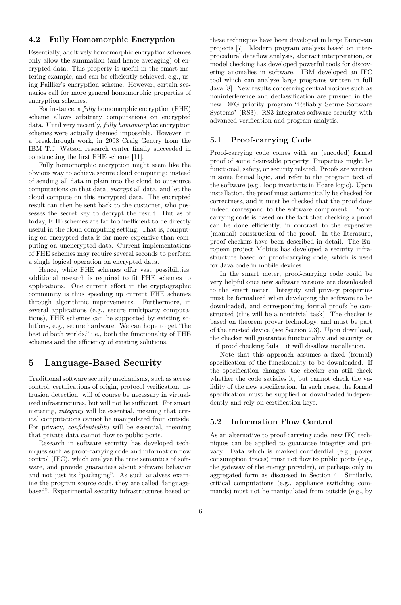#### 4.2 Fully Homomorphic Encryption

Essentially, additively homomorphic encryption schemes only allow the summation (and hence averaging) of encrypted data. This property is useful in the smart metering example, and can be efficiently achieved, e.g., using Paillier's encryption scheme. However, certain scenarios call for more general homomorphic properties of encryption schemes.

For instance, a fully homomorphic encryption (FHE) scheme allows arbitrary computations on encrypted data. Until very recently, fully homomorphic encryption schemes were actually deemed impossible. However, in a breakthrough work, in 2008 Craig Gentry from the IBM T.J. Watson research center finally succeeded in constructing the first FHE scheme [11].

Fully homomorphic encryption might seem like the obvious way to achieve secure cloud computing: instead of sending all data in plain into the cloud to outsource computations on that data, encrypt all data, and let the cloud compute on this encrypted data. The encrypted result can then be sent back to the customer, who possesses the secret key to decrypt the result. But as of today, FHE schemes are far too inefficient to be directly useful in the cloud computing setting. That is, computing on encrypted data is far more expensive than computing on unencrypted data. Current implementations of FHE schemes may require several seconds to perform a single logical operation on encrypted data.

Hence, while FHE schemes offer vast possibilities, additional research is required to fit FHE schemes to applications. One current effort in the cryptographic community is thus speeding up current FHE schemes through algorithmic improvements. Furthermore, in several applications (e.g., secure multiparty computations), FHE schemes can be supported by existing solutions, e.g., secure hardware. We can hope to get "the best of both worlds," i.e., both the functionality of FHE schemes and the efficiency of existing solutions.

# 5 Language-Based Security

Traditional software security mechanisms, such as access control, certifications of origin, protocol verification, intrusion detection, will of course be necessary in virtualized infrastructures, but will not be sufficient. For smart metering, integrity will be essential, meaning that critical computations cannot be manipulated from outside. For privacy, confidentiality will be essential, meaning that private data cannot flow to public ports.

Research in software security has developed techniques such as proof-carrying code and information flow control (IFC), which analyze the true semantics of software, and provide guarantees about software behavior and not just its "packaging". As such analyses examine the program source code, they are called "languagebased". Experimental security infrastructures based on these techniques have been developed in large European projects [7]. Modern program analysis based on interprocedural dataflow analysis, abstract interpretation, or model checking has developed powerful tools for discovering anomalies in software. IBM developed an IFC tool which can analyse large programs written in full Java [8]. New results concerning central notions such as noninterference and declassification are pursued in the new DFG priority program "Reliably Secure Software Systems" (RS3). RS3 integrates software security with advanced verification and program analysis.

### 5.1 Proof-carrying Code

Proof-carrying code comes with an (encoded) formal proof of some desireable property. Properties might be functional, safety, or security related. Proofs are written in some formal logic, and refer to the program text of the software (e.g., loop invariants in Hoare logic). Upon installation, the proof must automatically be checked for correctness, and it must be checked that the proof does indeed correspond to the software component. Proofcarrying code is based on the fact that checking a proof can be done efficiently, in contrast to the expensive (manual) construction of the proof. In the literature, proof checkers have been described in detail. The European project Mobius has developed a security infrastructure based on proof-carrying code, which is used for Java code in mobile devices.

In the smart meter, proof-carrying code could be very helpful once new software versions are downloaded to the smart meter. Integrity and privacy properties must be formalized when developing the software to be downloaded, and corresponding formal proofs be constructed (this will be a nontrivial task). The checker is based on theorem prover technology, and must be part of the trusted device (see Section 2.3). Upon download, the checker will guarantee functionality and security, or – if proof checking fails – it will disallow installation.

Note that this approach assumes a fixed (formal) specification of the functionality to be downloaded. If the specification changes, the checker can still check whether the code satisfies it, but cannot check the validity of the new specification. In such cases, the formal specification must be supplied or downloaded independently and rely on certification keys.

#### 5.2 Information Flow Control

As an alternative to proof-carrying code, new IFC techniques can be applied to guarantee integrity and privacy. Data which is marked confidential (e.g., power consumption traces) must not flow to public ports (e.g., the gateway of the energy provider), or perhaps only in aggregated form as discussed in Section 4. Similarly, critical computations (e.g., appliance switching commands) must not be manipulated from outside (e.g., by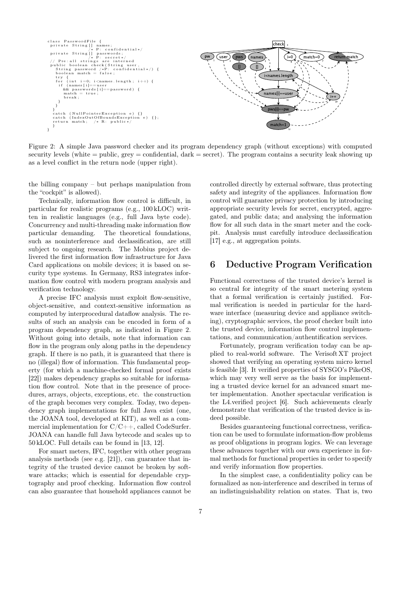

Figure 2: A simple Java password checker and its program dependency graph (without exceptions) with computed security levels (white  $=$  public, grey  $=$  confidential, dark  $=$  secret). The program contains a security leak showing up as a level conflict in the return node (upper right).

the billing company – but perhaps manipulation from the "cockpit" is allowed).

Technically, information flow control is difficult, in particular for realistic programs (e.g., 100 kLOC) written in realistic languages (e.g., full Java byte code). Concurrency and multi-threading make information flow particular demanding. The theoretical foundations, such as noninterference and declassification, are still subject to ongoing research. The Mobius project delivered the first information flow infrastructure for Java Card applications on mobile devices; it is based on security type systems. In Germany, RS3 integrates information flow control with modern program analysis and verification technology.

A precise IFC analysis must exploit flow-sensitive, object-sensitive, and context-sensitive information as computed by interprocedural dataflow analysis. The results of such an analysis can be encoded in form of a program dependency graph, as indicated in Figure 2. Without going into details, note that information can flow in the program only along paths in the dependency graph. If there is no path, it is guaranteed that there is no (illegal) flow of information. This fundamental property (for which a machine-checked formal proof exists [22]) makes dependency graphs so suitable for information flow control. Note that in the presence of procedures, arrays, objects, exceptions, etc. the construction of the graph becomes very complex. Today, two dependency graph implementations for full Java exist (one, the JOANA tool, developed at KIT), as well as a commercial implementation for C/C++, called CodeSurfer. JOANA can handle full Java bytecode and scales up to 50 kLOC. Full details can be found in [13, 12].

For smart meters, IFC, together with other program analysis methods (see e.g. [21]), can guarantee that integrity of the trusted device cannot be broken by software attacks; which is essential for dependable cryptography and proof checking. Information flow control can also guarantee that household appliances cannot be controlled directly by external software, thus protecting safety and integrity of the appliances. Information flow control will guarantee privacy protection by introducing appropriate security levels for secret, encrypted, aggregated, and public data; and analysing the information flow for all such data in the smart meter and the cockpit. Analysis must carefully introduce declassification [17] e.g., at aggregation points.

## 6 Deductive Program Verification

Functional correctness of the trusted device's kernel is so central for integrity of the smart metering system that a formal verification is certainly justified. Formal verification is needed in particular for the hardware interface (measuring device and appliance switching), cryptographic services, the proof checker built into the trusted device, information flow control implementations, and communication/authentification services.

Fortunately, program verification today can be applied to real-world software. The Verisoft XT project showed that verifying an operating system micro kernel is feasible [3]. It verified properties of SYSGO's PikeOS, which may very well serve as the basis for implementing a trusted device kernel for an advanced smart meter implementation. Another spectacular verification is the L4.verified project [6]. Such achievements clearly demonstrate that verification of the trusted device is indeed possible.

Besides guaranteeing functional correctness, verification can be used to formulate information-flow problems as proof obligations in program logics. We can leverage these advances together with our own experience in formal methods for functional properties in order to specify and verify information flow properties.

In the simplest case, a confidentiality policy can be formalized as non-interference and described in terms of an indistinguishability relation on states. That is, two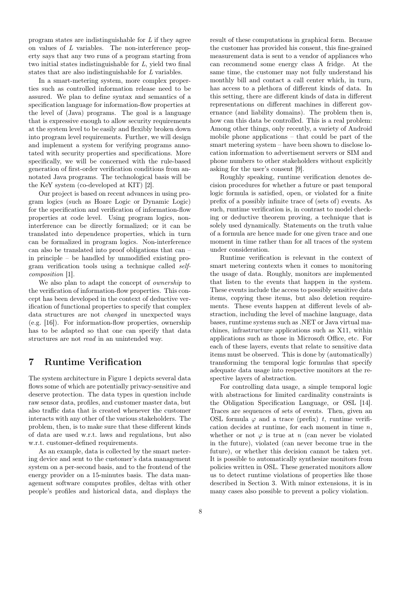program states are indistinguishable for L if they agree on values of L variables. The non-interference property says that any two runs of a program starting from two initial states indistinguishable for L, yield two final states that are also indistinguishable for L variables.

In a smart-metering system, more complex properties such as controlled information release need to be assured. We plan to define syntax and semantics of a specification language for information-flow properties at the level of (Java) programs. The goal is a language that is expressive enough to allow security requirements at the system level to be easily and flexibly broken down into program level requirements. Further, we will design and implement a system for verifying programs annotated with security properties and specifications. More specifically, we will be concerned with the rule-based generation of first-order verification conditions from annotated Java programs. The technological basis will be the KeY system (co-developed at KIT) [2].

Our project is based on recent advances in using program logics (such as Hoare Logic or Dynamic Logic) for the specification and verification of information-flow properties at code level. Using program logics, noninterference can be directly formalized; or it can be translated into dependence properties, which in turn can be formalized in program logics. Non-interference can also be translated into proof obligations that can – in principle – be handled by unmodified existing program verification tools using a technique called selfcomposition [1].

We also plan to adapt the concept of ownership to the verification of information-flow properties. This concept has been developed in the context of deductive verification of functional properties to specify that complex data structures are not changed in unexpected ways (e.g. [16]). For information-flow properties, ownership has to be adapted so that one can specify that data structures are not *read* in an unintended way.

# 7 Runtime Verification

The system architecture in Figure 1 depicts several data flows some of which are potentially privacy-sensitive and deserve protection. The data types in question include raw sensor data, profiles, and customer master data, but also traffic data that is created whenever the customer interacts with any other of the various stakeholders. The problem, then, is to make sure that these different kinds of data are used w.r.t. laws and regulations, but also w.r.t. customer-defined requirements.

As an example, data is collected by the smart metering device and sent to the customer's data management system on a per-second basis, and to the frontend of the energy provider on a 15-minutes basis. The data management software computes profiles, deltas with other people's profiles and historical data, and displays the result of these computations in graphical form. Because the customer has provided his consent, this fine-grained measurement data is sent to a vendor of appliances who can recommend some energy class A fridge. At the same time, the customer may not fully understand his monthly bill and contact a call center which, in turn, has access to a plethora of different kinds of data. In this setting, there are different kinds of data in different representations on different machines in different governance (and liability domains). The problem then is, how can this data be controlled. This is a real problem: Among other things, only recently, a variety of Android mobile phone applications – that could be part of the smart metering system – have been shown to disclose location information to advertisement servers or SIM and phone numbers to other stakeholders without explicitly asking for the user's consent [9].

Roughly speaking, runtime verification denotes decision procedures for whether a future or past temporal logic formula is satisfied, open, or violated for a finite prefix of a possibly infinite trace of (sets of) events. As such, runtime verification is, in contrast to model checking or deductive theorem proving, a technique that is solely used dynamically. Statements on the truth value of a formula are hence made for one given trace and one moment in time rather than for all traces of the system under consideration.

Runtime verification is relevant in the context of smart metering contexts when it comes to monitoring the usage of data. Roughly, monitors are implemented that listen to the events that happen in the system. These events include the access to possibly sensitive data items, copying these items, but also deletion requirements. These events happen at different levels of abstraction, including the level of machine language, data bases, runtime systems such as .NET or Java virtual machines, infrastructure applications such as X11, within applications such as those in Microsoft Office, etc. For each of these layers, events that relate to sensitive data items must be observed. This is done by (automatically) transforming the temporal logic formulas that specify adequate data usage into respective monitors at the respective layers of abstraction.

For controlling data usage, a simple temporal logic with abstractions for limited cardinality constraints is the Obligation Specification Language, or OSL [14]. Traces are sequences of sets of events. Then, given an OSL formula  $\varphi$  and a trace (prefix) t, runtime verification decides at runtime, for each moment in time  $n$ , whether or not  $\varphi$  is true at n (can never be violated in the future), violated (can never become true in the future), or whether this decision cannot be taken yet. It is possible to automatically synthesize monitors from policies written in OSL. These generated monitors allow us to detect runtime violations of properties like those described in Section 3. With minor extensions, it is in many cases also possible to prevent a policy violation.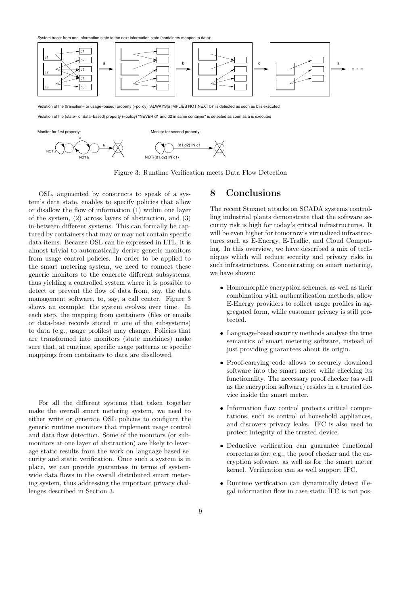System trace: from one information state to the next information state (containers mapped to data):



Violation of the (transition− or usage−based) property (=policy) "ALWAYS(a IMPLIES NOT NEXT b)" is detected as soon as b is executed

Violation of the (state− or data−based) property (=policy) "NEVER d1 and d2 in same container" is detected as soon as a is executed



Figure 3: Runtime Verification meets Data Flow Detection

OSL, augmented by constructs to speak of a system's data state, enables to specify policies that allow or disallow the flow of information (1) within one layer of the system, (2) across layers of abstraction, and (3) in-between different systems. This can formally be captured by containers that may or may not contain specific data items. Because OSL can be expressed in LTL, it is almost trivial to automatically derive generic monitors from usage control policies. In order to be applied to the smart metering system, we need to connect these generic monitors to the concrete different subsystems, thus yielding a controlled system where it is possible to detect or prevent the flow of data from, say, the data management software, to, say, a call center. Figure 3 shows an example: the system evolves over time. In each step, the mapping from containers (files or emails or data-base records stored in one of the subsystems) to data (e.g., usage profiles) may change. Policies that are transformed into monitors (state machines) make sure that, at runtime, specific usage patterns or specific mappings from containers to data are disallowed.

For all the different systems that taken together make the overall smart metering system, we need to either write or generate OSL policies to configure the generic runtime monitors that implement usage control and data flow detection. Some of the monitors (or submonitors at one layer of abstraction) are likely to leverage static results from the work on language-based security and static verification. Once such a system is in place, we can provide guarantees in terms of systemwide data flows in the overall distributed smart metering system, thus addressing the important privacy challenges described in Section 3.

## 8 Conclusions

The recent Stuxnet attacks on SCADA systems controlling industrial plants demonstrate that the software security risk is high for today's critical infrastructures. It will be even higher for tomorrow's virtualized infrastructures such as E-Energy, E-Traffic, and Cloud Computing. In this overview, we have described a mix of techniques which will reduce security and privacy risks in such infrastructures. Concentrating on smart metering, we have shown:

- Homomorphic encryption schemes, as well as their combination with authentification methods, allow E-Energy providers to collect usage profiles in aggregated form, while customer privacy is still protected.
- Language-based security methods analyse the true semantics of smart metering software, instead of just providing guarantees about its origin.
- Proof-carrying code allows to securely download software into the smart meter while checking its functionality. The necessary proof checker (as well as the encryption software) resides in a trusted device inside the smart meter.
- Information flow control protects critical computations, such as control of household appliances, and discovers privacy leaks. IFC is also used to protect integrity of the trusted device.
- Deductive verification can guarantee functional correctness for, e.g., the proof checker and the encryption software, as well as for the smart meter kernel. Verification can as well support IFC.
- Runtime verification can dynamically detect illegal information flow in case static IFC is not pos-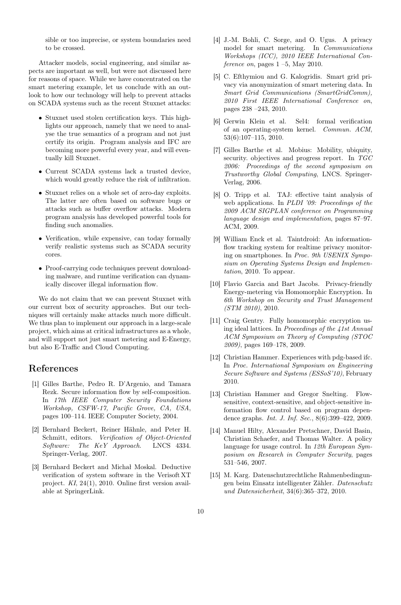sible or too imprecise, or system boundaries need to be crossed.

Attacker models, social engineering, and similar aspects are important as well, but were not discussed here for reasons of space. While we have concentrated on the smart metering example, let us conclude with an outlook to how our technology will help to prevent attacks on SCADA systems such as the recent Stuxnet attacks:

- Stuxnet used stolen certification keys. This highlights our approach, namely that we need to analyse the true semantics of a program and not just certify its origin. Program analysis and IFC are becoming more powerful every year, and will eventually kill Stuxnet.
- Current SCADA systems lack a trusted device, which would greatly reduce the risk of infiltration.
- Stuxnet relies on a whole set of zero-day exploits. The latter are often based on software bugs or attacks such as buffer overflow attacks. Modern program analysis has developed powerful tools for finding such anomalies.
- Verification, while expensive, can today formally verify realistic systems such as SCADA security cores.
- Proof-carrying code techniques prevent downloading malware, and runtime verification can dynamically discover illegal information flow.

We do not claim that we can prevent Stuxnet with our current box of security approaches. But our techniques will certainly make attacks much more difficult. We thus plan to implement our approach in a large-scale project, which aims at critical infrastructures as a whole, and will support not just smart metering and E-Energy, but also E-Traffic and Cloud Computing.

## References

- [1] Gilles Barthe, Pedro R. D'Argenio, and Tamara Rezk. Secure information flow by self-composition. In 17th IEEE Computer Security Foundations Workshop, CSFW-17, Pacific Grove, CA, USA, pages 100–114. IEEE Computer Society, 2004.
- [2] Bernhard Beckert, Reiner Hähnle, and Peter H. Schmitt, editors. Verification of Object-Oriented Software: The KeY Approach. LNCS 4334. Springer-Verlag, 2007.
- [3] Bernhard Beckert and Michał Moskal. Deductive verification of system software in the Verisoft XT project. KI, 24(1), 2010. Online first version available at SpringerLink.
- [4] J.-M. Bohli, C. Sorge, and O. Ugus. A privacy model for smart metering. In Communications Workshops (ICC), 2010 IEEE International Conference on, pages  $1 - 5$ , May 2010.
- [5] C. Efthymiou and G. Kalogridis. Smart grid privacy via anonymization of smart metering data. In Smart Grid Communications (SmartGridComm), 2010 First IEEE International Conference on, pages 238 –243, 2010.
- [6] Gerwin Klein et al. Sel4: formal verification of an operating-system kernel. Commun. ACM, 53(6):107–115, 2010.
- [7] Gilles Barthe et al. Mobius: Mobility, ubiquity, security. objectives and progress report. In TGC 2006: Proceedings of the second symposium on Trustworthy Global Computing, LNCS. Springer-Verlag, 2006.
- [8] O. Tripp et al. TAJ: effective taint analysis of web applications. In PLDI '09: Proceedings of the 2009 ACM SIGPLAN conference on Programming language design and implementation, pages 87–97. ACM, 2009.
- [9] William Enck et al. Taintdroid: An informationflow tracking system for realtime privacy monitoring on smartphones. In Proc. 9th USENIX Symposium on Operating Systems Design and Implementation, 2010. To appear.
- [10] Flavio Garcia and Bart Jacobs. Privacy-friendly Energy-metering via Homomorphic Encryption. In 6th Workshop on Security and Trust Management (STM 2010), 2010.
- [11] Craig Gentry. Fully homomorphic encryption using ideal lattices. In Proceedings of the 41st Annual ACM Symposium on Theory of Computing (STOC 2009), pages 169–178, 2009.
- [12] Christian Hammer. Experiences with pdg-based ifc. In Proc. International Symposium on Engineering Secure Software and Systems (ESSoS'10), February 2010.
- [13] Christian Hammer and Gregor Snelting. Flowsensitive, context-sensitive, and object-sensitive information flow control based on program dependence graphs. Int. J. Inf. Sec., 8(6):399–422, 2009.
- [14] Manuel Hilty, Alexander Pretschner, David Basin, Christian Schaefer, and Thomas Walter. A policy language for usage control. In 12th European Symposium on Research in Computer Security, pages 531–546, 2007.
- [15] M. Karg. Datenschutzrechtliche Rahmenbedingungen beim Einsatz intelligenter Zähler. Datenschutz und Datensicherheit, 34(6):365–372, 2010.